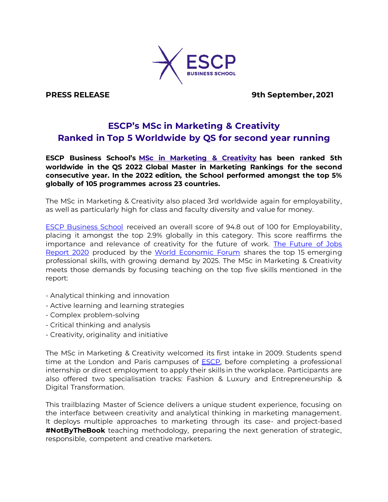

**PRESS RELEASE** 9th September, 2021

# **ESCP's MSc in Marketing & Creativity Ranked in Top 5 Worldwide by QS for second year running**

**ESCP Business School's [MSc in Marketing & Creativity](https://escp.eu/programmes/specialised-masters-MScs/MSc-in-marketing-and-creativity?utm_source=ESCP&utm_medium=article-native&utm_campaign=london_mmk_vn_2021-22ranking&channel=2434) has been ranked 5th worldwide in the QS 2022 Global Master in Marketing Rankings for the second consecutive year. In the 2022 edition, the School performed amongst the top 5% globally of 105 programmes across 23 countries.**

The MSc in Marketing & Creativity also placed 3rd worldwide again for employability, as well as particularly high for class and faculty diversity and value for money.

[ESCP Business School](/Users/alisonescp/Desktop/escp.eu) received an overall score of 94.8 out of 100 for Employability, placing it amongst the top 2.9% globally in this category. This score reaffirms the importance and relevance of creativity for the future of work. The Future of Jobs [Report 2020](http://www3.weforum.org/docs/WEF_Future_of_Jobs_2020.pdf) produced by the [World Economic Forum](https://www.weforum.org/) shares the top 15 emerging professional skills, with growing demand by 2025. The MSc in Marketing & Creativity meets those demands by focusing teaching on the top five skills mentioned in the report:

- Analytical thinking and innovation
- Active learning and learning strategies
- Complex problem-solving
- Critical thinking and analysis
- Creativity, originality and initiative

The MSc in Marketing & Creativity welcomed its first intake in 2009. Students spend time at the London and Paris campuses of **ESCP**, before completing a professional internship or direct employment to apply their skills in the workplace. Participants are also offered two specialisation tracks: Fashion & Luxury and Entrepreneurship & Digital Transformation.

This trailblazing Master of Science delivers a unique student experience, focusing on the interface between creativity and analytical thinking in marketing management. It deploys multiple approaches to marketing through its case- and project-based **#NotByTheBook** teaching methodology, preparing the next generation of strategic, responsible, competent and creative marketers.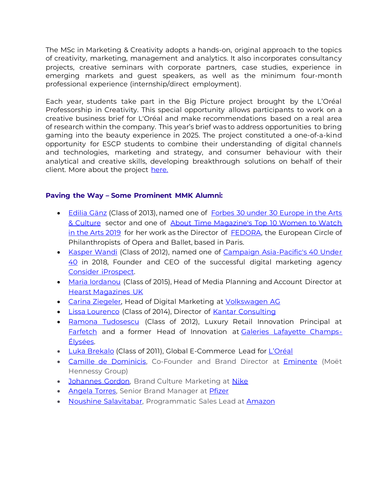The MSc in Marketing & Creativity adopts a hands-on, original approach to the topics of creativity, marketing, management and analytics. It also incorporates consultancy projects, creative seminars with corporate partners, case studies, experience in emerging markets and guest speakers, as well as the minimum four-month professional experience (internship/direct employment).

Each year, students take part in the Big Picture project brought by the L'Oréal Professorship in Creativity. This special opportunity allows participants to work on a creative business brief for L'Oréal and make recommendations based on a real area of research within the company. This year's brief was to address opportunities to bring gaming into the beauty experience in 2025. The project constituted a one-of-a-kind opportunity for ESCP students to combine their understanding of digital channels and technologies, marketing and strategy, and consumer behaviour with their analytical and creative skills, developing breakthrough solutions on behalf of their client. More about the project [here.](https://www.escp.eu/news/big-picture-2021)

## **Paving the Way – Some Prominent MMK Alumni:**

- [Edilia Gänz](https://www.linkedin.com/in/ediliagaenz/) (Class of 2013), named one of [Forbes 30 under 30 Europe in the Arts](https://www.forbes.com/under30/list/2019/europe/art-culture/%22%20%5Cl%20%2256df9dd24a36)  [& Culture](https://www.forbes.com/under30/list/2019/europe/art-culture/%22%20%5Cl%20%2256df9dd24a36) sector and one of About Time Magazine's Top 10 Women to Watch [in the Arts 2019](https://www.abouttimemagazine.co.uk/life/shestartedit100-top-10-women-to-watch-in-the-arts-2019) for her work as the Director of [FEDORA,](https://www.fedora-platform.com/) the European Circle of Philanthropists of Opera and Ballet, based in Paris.
- [Kasper Wandi](https://www.linkedin.com/in/kasperwandi/) (Class of 2012), named one of Campaign Asia-Pacific's 40 Under [40](https://www.campaignasia.com/gallery/40-under-40-2018s-class-of-young-leaders-in-apac-marketing-and-communications/447439) in 2018, Founder and CEO of the successful digital marketing agency [Consider iProspect.](https://consider-iprospect.com/)
- [Maria Iordanou](https://www.linkedin.com/in/mariaiordanou/) (Class of 2015), Head of Media Planning and Account Director at [Hearst Magazines UK](https://www.hearstmagazines.co.uk/)
- [Carina Ziegeler,](https://www.linkedin.com/in/carina-ziegeler-8a485859/?trk=pub-pbmap&originalSubdomain=de) Head of Digital Marketing at [Volkswagen AG](https://www.volkswagenag.com/en.html)
- [Lissa Lourenco](https://www.linkedin.com/in/lissa-louren%C3%A7o-6133b059/) (Class of 2014), Director of [Kantar Consulting](https://www.kantar.com/expertise/consulting)
- [Ramona Tudosescu](https://www.linkedin.com/in/ramona-tudosescu-9a729b10/) (Class of 2012), Luxury Retail Innovation Principal at [Farfetch](https://www.farfetch.com/uk/) and a former Head of Innovation at [Galeries Lafayette Champs-](https://www.galerieslafayettechampselysees.com/)[Élysées.](https://www.galerieslafayettechampselysees.com/)
- [Luka Brekalo](https://www.linkedin.com/in/luka-brekalo-02a38a31/) (Class of 2011), Global E-Commerce Lead for [L'Oréal](https://www.loreal.com/en/)
- [Camille de Dominicis,](https://www.linkedin.com/in/camille-de-dominicis-4893aa13/?originalSubdomain=fr) Co-Founder and Brand Director at [Eminente](https://www.eminente.com/en-de/) (Moët Hennessy Group)
- [Johannes Gordon,](https://www.linkedin.com/in/johannesgordon/?originalSubdomain=it) Brand Culture Marketing at [Nike](https://about.nike.com/)
- [Angela Torres,](https://www.linkedin.com/in/angelatorres-retail-pharma-globalmarketing/?locale=en_US) Senior Brand Manager at [Pfizer](https://www.pfizer.com/)
- [Noushine Salavitabar,](https://www.linkedin.com/in/noushine/?originalSubdomain=uk) Programmatic Sales Lead at [Amazon](https://www.amazon.com/)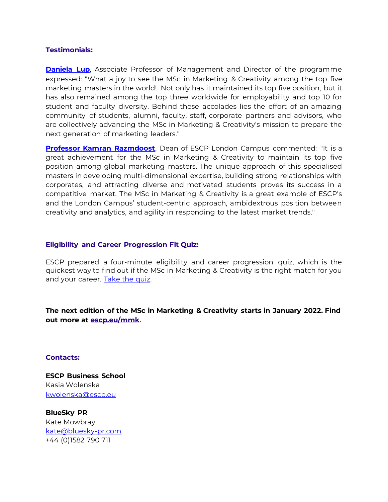#### **Testimonials:**

**[Daniela Lup](https://www.escp.eu/lup-daniela)**, Associate Professor of Management and Director of the programme expressed: "What a joy to see the MSc in Marketing & Creativity among the top five marketing masters in the world! Not only has it maintained its top five position, but it has also remained among the top three worldwide for employability and top 10 for student and faculty diversity. Behind these accolades lies the effort of an amazing community of students, alumni, faculty, staff, corporate partners and advisors, who are collectively advancing the MSc in Marketing & Creativity's mission to prepare the next generation of marketing leaders."

**[Professor Kamran Razmdoost](https://www.escp.eu/razmdoost-kamran)**, Dean of ESCP London Campus commented: "It is a great achievement for the MSc in Marketing & Creativity to maintain its top five position among global marketing masters. The unique approach of this specialised masters in developing multi-dimensional expertise, building strong relationships with corporates, and attracting diverse and motivated students proves its success in a competitive market. The MSc in Marketing & Creativity is a great example of ESCP's and the London Campus' student-centric approach, ambidextrous position between creativity and analytics, and agility in responding to the latest market trends."

#### **Eligibility and Career Progression Fit Quiz:**

ESCP prepared a four-minute eligibility and career progression quiz, which is the quickest way to find out if the MSc in Marketing & Creativity is the right match for you and your career. [Take the quiz.](https://quiz.escp.eu/msc-marketing-and-creativity-escp-business-school?utm_source=ESCP&utm_medium=article-native&utm_campaign=london_mmk_vn_2021-22ranking)

**The next edition of the MSc in Marketing & Creativity starts in January 2022. Find out more at [escp.eu/mmk.](https://escp.eu/programmes/specialised-masters-MScs/MSc-in-marketing-and-creativity?utm_source=ESCP&utm_medium=article-native&utm_campaign=london_mmk_vn_2021-22ranking&channel=2434)**

### **Contacts:**

**ESCP Business School** Kasia Wolenska [kwolenska@escp.eu](mailto:kwolenska@escp.eu)

**BlueSky PR**  Kate Mowbray [kate@bluesky-pr.com](mailto:kate@bluesky-pr.com) +44 (0)1582 790 711